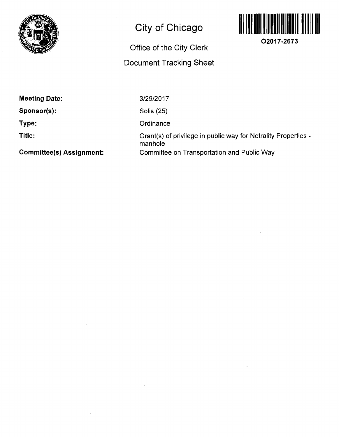

## **City of Chicago**

## **Office of the City Clerk Document Tracking Sheet**



**O2017-2673** 

**Meeting Date:** 

**Sponsor(s):** 

**Type:** 

**Title:** 

3/29/2017

Solis (25)

**Ordinance** 

Grant(s) of privilege in public way for Netrality Properties manhole Committee on Transportation and Public Way

**Committee(s) Assignment:** 

 $\epsilon$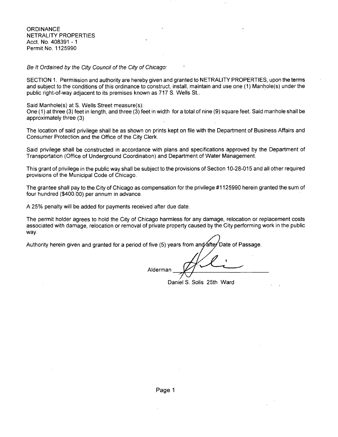Be It Ordained by the City Council of the City of Chicago:

SECTION 1. Permission and authority are hereby given and granted to NETRALITY PROPERTIES, upon the terms and subject to the conditions of this ordinance to construct, install, maintain and use one (1) Manhole(s) under the public right-of-way adjacent to its premises known as 717 S. Wells St..

Said Manhole(s) at S. Wells Street measure(s):

One (1) at three (3) feet in length, and three (3) feet in width for a total of nine (9) square feet. Said manhole shall be approximately three (3)

The location of said privilege shall be as shown on prints kept on file with the Department of Business Affairs and Consumer Protection and the Office of the City Clerk.

Said privilege shall be constructed in accordance with plans and specifications approved by the Department of Transportation (Office of Underground Coordination) and Department of Water Management.

This grant of privilege in the public way shall be subject to the provisions of Section 10-28-015 and all other required provisions of the Municipal Code of Chicago.

The grantee shall pay to the City of Chicago as compensation for the privilege #1125990 herein granted the sum of four hundred (\$400.00) per annum in advance.

A 25% penalty will be added for payments received after due date.

The permit holder agrees to hold the City of Chicago harmless for any damage, relocation or replacement costs associated with damage, relocation or removal of private property caused by the City performing work in the public way.

Authority herein given and granted for a period of five (5) years from and after Date of Passage.

Alderman

Daniel S. Solis 25th Ward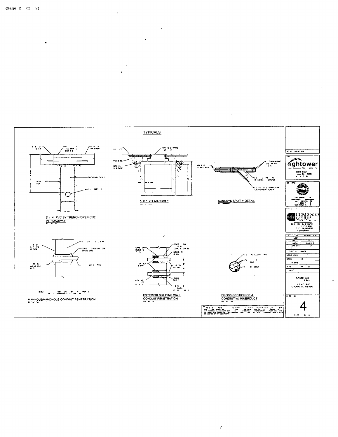

 $\mathfrak{h}$ 

 $\Delta$ 

 $\bar{V}$